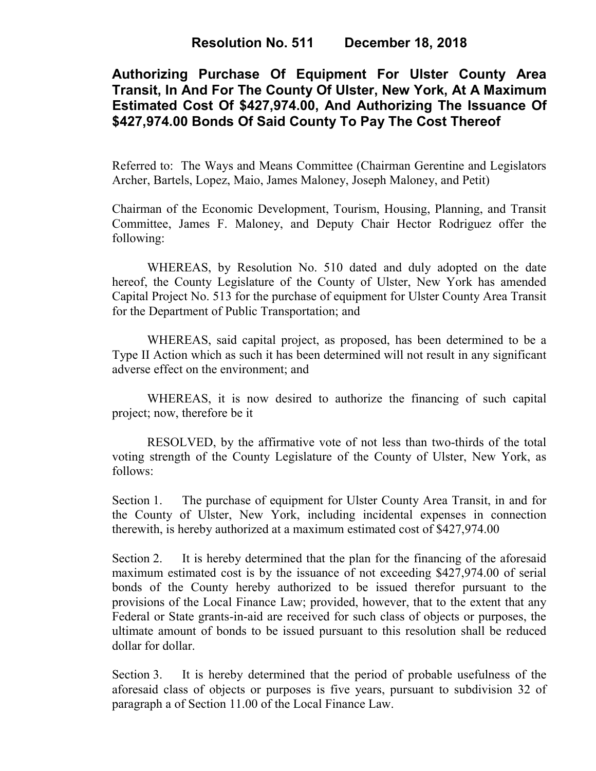# **Authorizing Purchase Of Equipment For Ulster County Area Transit, In And For The County Of Ulster, New York, At A Maximum Estimated Cost Of \$427,974.00, And Authorizing The Issuance Of \$427,974.00 Bonds Of Said County To Pay The Cost Thereof**

Referred to: The Ways and Means Committee (Chairman Gerentine and Legislators Archer, Bartels, Lopez, Maio, James Maloney, Joseph Maloney, and Petit)

Chairman of the Economic Development, Tourism, Housing, Planning, and Transit Committee, James F. Maloney, and Deputy Chair Hector Rodriguez offer the following:

WHEREAS, by Resolution No. 510 dated and duly adopted on the date hereof, the County Legislature of the County of Ulster, New York has amended Capital Project No. 513 for the purchase of equipment for Ulster County Area Transit for the Department of Public Transportation; and

WHEREAS, said capital project, as proposed, has been determined to be a Type II Action which as such it has been determined will not result in any significant adverse effect on the environment; and

WHEREAS, it is now desired to authorize the financing of such capital project; now, therefore be it

RESOLVED, by the affirmative vote of not less than two-thirds of the total voting strength of the County Legislature of the County of Ulster, New York, as follows:

Section 1. The purchase of equipment for Ulster County Area Transit, in and for the County of Ulster, New York, including incidental expenses in connection therewith, is hereby authorized at a maximum estimated cost of \$427,974.00

Section 2. It is hereby determined that the plan for the financing of the aforesaid maximum estimated cost is by the issuance of not exceeding \$427,974.00 of serial bonds of the County hereby authorized to be issued therefor pursuant to the provisions of the Local Finance Law; provided, however, that to the extent that any Federal or State grants-in-aid are received for such class of objects or purposes, the ultimate amount of bonds to be issued pursuant to this resolution shall be reduced dollar for dollar.

Section 3. It is hereby determined that the period of probable usefulness of the aforesaid class of objects or purposes is five years, pursuant to subdivision 32 of paragraph a of Section 11.00 of the Local Finance Law.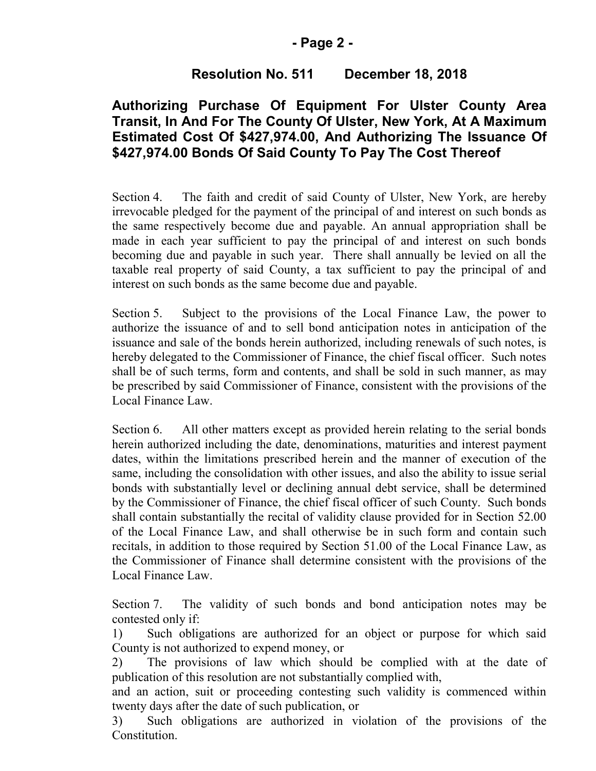#### **- Page 2 -**

### **Resolution No. 511 December 18, 2018**

## **Authorizing Purchase Of Equipment For Ulster County Area Transit, In And For The County Of Ulster, New York, At A Maximum Estimated Cost Of \$427,974.00, And Authorizing The Issuance Of \$427,974.00 Bonds Of Said County To Pay The Cost Thereof**

Section 4. The faith and credit of said County of Ulster, New York, are hereby irrevocable pledged for the payment of the principal of and interest on such bonds as the same respectively become due and payable. An annual appropriation shall be made in each year sufficient to pay the principal of and interest on such bonds becoming due and payable in such year. There shall annually be levied on all the taxable real property of said County, a tax sufficient to pay the principal of and interest on such bonds as the same become due and payable.

Section 5. Subject to the provisions of the Local Finance Law, the power to authorize the issuance of and to sell bond anticipation notes in anticipation of the issuance and sale of the bonds herein authorized, including renewals of such notes, is hereby delegated to the Commissioner of Finance, the chief fiscal officer. Such notes shall be of such terms, form and contents, and shall be sold in such manner, as may be prescribed by said Commissioner of Finance, consistent with the provisions of the Local Finance Law.

Section 6. All other matters except as provided herein relating to the serial bonds herein authorized including the date, denominations, maturities and interest payment dates, within the limitations prescribed herein and the manner of execution of the same, including the consolidation with other issues, and also the ability to issue serial bonds with substantially level or declining annual debt service, shall be determined by the Commissioner of Finance, the chief fiscal officer of such County. Such bonds shall contain substantially the recital of validity clause provided for in Section 52.00 of the Local Finance Law, and shall otherwise be in such form and contain such recitals, in addition to those required by Section 51.00 of the Local Finance Law, as the Commissioner of Finance shall determine consistent with the provisions of the Local Finance Law.

Section 7. The validity of such bonds and bond anticipation notes may be contested only if:

1) Such obligations are authorized for an object or purpose for which said County is not authorized to expend money, or

2) The provisions of law which should be complied with at the date of publication of this resolution are not substantially complied with,

and an action, suit or proceeding contesting such validity is commenced within twenty days after the date of such publication, or

3) Such obligations are authorized in violation of the provisions of the Constitution.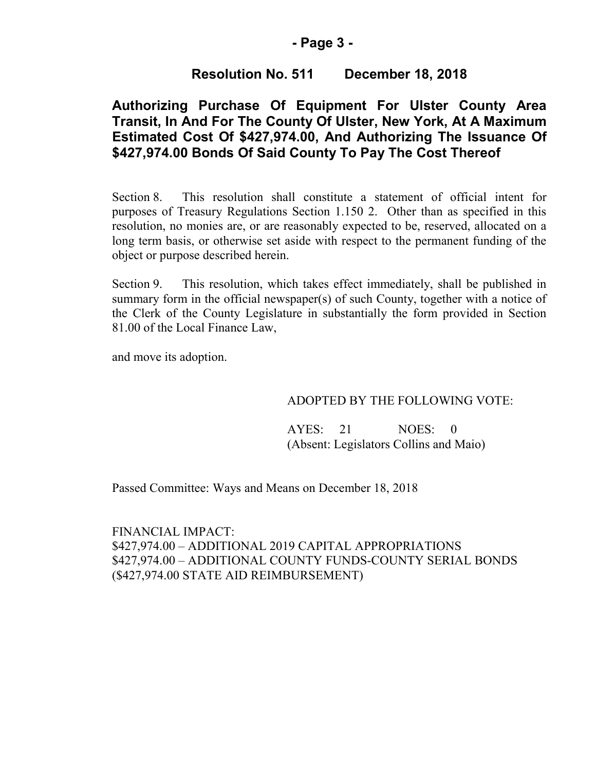#### **- Page 3 -**

### **Resolution No. 511 December 18, 2018**

# **Authorizing Purchase Of Equipment For Ulster County Area Transit, In And For The County Of Ulster, New York, At A Maximum Estimated Cost Of \$427,974.00, And Authorizing The Issuance Of \$427,974.00 Bonds Of Said County To Pay The Cost Thereof**

Section 8. This resolution shall constitute a statement of official intent for purposes of Treasury Regulations Section 1.150 2. Other than as specified in this resolution, no monies are, or are reasonably expected to be, reserved, allocated on a long term basis, or otherwise set aside with respect to the permanent funding of the object or purpose described herein.

Section 9. This resolution, which takes effect immediately, shall be published in summary form in the official newspaper(s) of such County, together with a notice of the Clerk of the County Legislature in substantially the form provided in Section 81.00 of the Local Finance Law,

and move its adoption.

#### ADOPTED BY THE FOLLOWING VOTE:

AYES: 21 NOES: 0 (Absent: Legislators Collins and Maio)

Passed Committee: Ways and Means on December 18, 2018

FINANCIAL IMPACT: \$427,974.00 – ADDITIONAL 2019 CAPITAL APPROPRIATIONS \$427,974.00 – ADDITIONAL COUNTY FUNDS-COUNTY SERIAL BONDS (\$427,974.00 STATE AID REIMBURSEMENT)